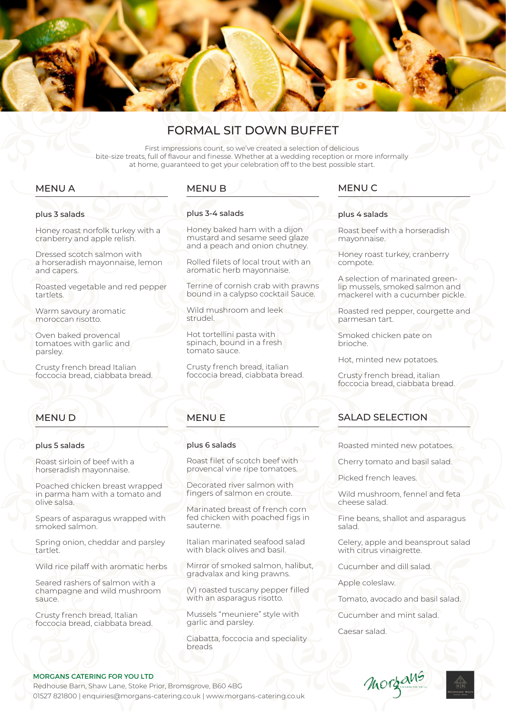

# FORMAL SIT DOWN BUFFET

First impressions count, so we've created a selection of delicious bite-size treats, full of flavour and finesse. Whether at a wedding reception or more informally at home, guaranteed to get your celebration off to the best possible start.

## MENU A

# plus 3 salads

Honey roast norfolk turkey with a cranberry and apple relish.

Dressed scotch salmon with a horseradish mayonnaise, lemon and capers.

Roasted vegetable and red pepper tartlets.

Warm savoury aromatic moroccan risotto.

Oven baked provencal tomatoes with garlic and parsley.

Crusty french bread Italian foccocia bread, ciabbata bread.

## MENU B

#### plus 3-4 salads

Honey baked ham with a dijon mustard and sesame seed glaze and a peach and onion chutney.

Rolled filets of local trout with an aromatic herb mayonnaise.

Terrine of cornish crab with prawns bound in a calypso cocktail Sauce.

Wild mushroom and leek strudel.

Hot tortellini pasta with spinach, bound in a fresh tomato sauce.

Crusty french bread, italian foccocia bread, ciabbata bread.

## MENU C

#### plus 4 salads

Roast beef with a horseradish mayonnaise.

Honey roast turkey, cranberry compote.

A selection of marinated greenlip mussels, smoked salmon and mackerel with a cucumber pickle.

Roasted red pepper, courgette and parmesan tart.

Smoked chicken pate on brioche.

Hot, minted new potatoes.

Crusty french bread, italian foccocia bread, ciabbata bread.

## MENU D

#### plus 5 salads

Roast sirloin of beef with a horseradish mayonnaise.

Poached chicken breast wrapped in parma ham with a tomato and olive salsa.

Spears of asparagus wrapped with smoked salmon.

Spring onion, cheddar and parsley tartlet.

Wild rice pilaff with aromatic herbs

Seared rashers of salmon with a champagne and wild mushroom sauce.

Crusty french bread, Italian foccocia bread, ciabbata bread.

# MENU E

### plus 6 salads

Roast filet of scotch beef with provencal vine ripe tomatoes.

Decorated river salmon with fingers of salmon en croute.

Marinated breast of french corn fed chicken with poached figs in sauterne.

Italian marinated seafood salad with black olives and basil.

Mirror of smoked salmon, halibut, gradvalax and king prawns.

(V) roasted tuscany pepper filled with an asparagus risotto.

Mussels "meuniere" style with garlic and parsley.

Ciabatta, foccocia and speciality breads

## SALAD SELECTION

Roasted minted new potatoes.

Cherry tomato and basil salad.

Picked french leaves.

Wild mushroom, fennel and feta cheese salad.

Fine beans, shallot and asparagus salad.

Celery, apple and beansprout salad with citrus vinaigrette.

Cucumber and dill salad.

Apple coleslaw.

Tomato, avocado and basil salad.

Cucumber and mint salad.

Caesar salad.



Redhouse Barn, Shaw Lane, Stoke Prior, Bromsgrove, B60 4BG 01527 821800 | enquiries@morgans-catering.co.uk | www.morgans-catering.co.uk